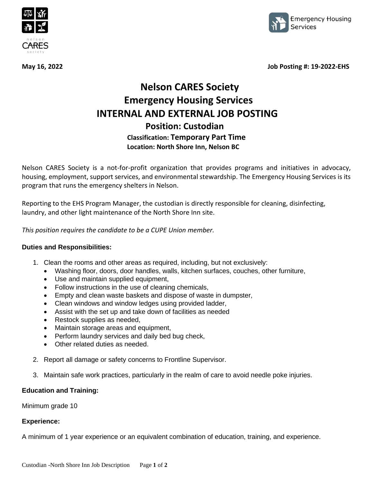



**May 16, 2022 Job Posting #: 19-2022-EHS** 

# **Nelson CARES Society Emergency Housing Services INTERNAL AND EXTERNAL JOB POSTING Position: Custodian Classification: Temporary Part Time Location: North Shore Inn, Nelson BC**

Nelson CARES Society is a not-for-profit organization that provides programs and initiatives in advocacy, housing, employment, support services, and environmental stewardship. The Emergency Housing Services is its program that runs the emergency shelters in Nelson.

Reporting to the EHS Program Manager, the custodian is directly responsible for cleaning, disinfecting, laundry, and other light maintenance of the North Shore Inn site.

*This position requires the candidate to be a CUPE Union member.*

#### **Duties and Responsibilities:**

- 1. Clean the rooms and other areas as required, including, but not exclusively:
	- Washing floor, doors, door handles, walls, kitchen surfaces, couches, other furniture,
	- Use and maintain supplied equipment,
	- Follow instructions in the use of cleaning chemicals,
	- Empty and clean waste baskets and dispose of waste in dumpster,
	- Clean windows and window ledges using provided ladder,
	- Assist with the set up and take down of facilities as needed
	- Restock supplies as needed,
	- Maintain storage areas and equipment,
	- Perform laundry services and daily bed bug check,
	- Other related duties as needed.
- 2. Report all damage or safety concerns to Frontline Supervisor.
- 3. Maintain safe work practices, particularly in the realm of care to avoid needle poke injuries.

## **Education and Training:**

Minimum grade 10

#### **Experience:**

A minimum of 1 year experience or an equivalent combination of education, training, and experience.